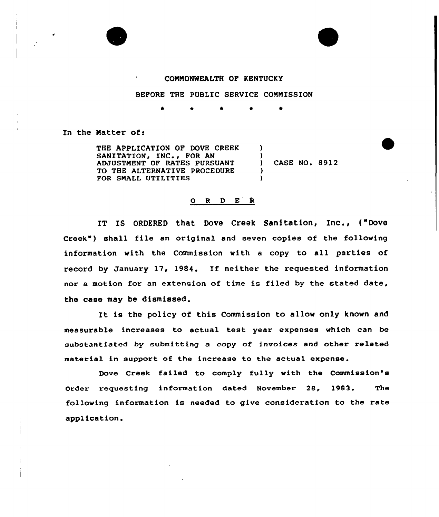

## COMMONWEALTH OF KENTUCKY

BEFORE THE PUBLIC SERVICE COMMISSION

4'

)

)

) )

In the Natter of:

THE APPLICATION OF DOVE CREEK SANITATION, INC., FOR AN ADJUSTMENT OF RATES PURSUANT TO THE ALTERNATIVE PROCEDURE FOR SNALL UTILITIES

) CASE NO. 8912

## O R D E R

IT IS ORDERED that Dove Creek Sanitation, Inc., ("Dove Creek") shall file an original and seven copies of the following information with the Commission with a copy to all parties of record by January 17, 1984. If neither the requested information nor a motion for an extension of time is filed by the stated date, the case may be dismissed.

It is the policy of this Commission to allow only known and measurable increases to actual test year expenses which can be substantiated by submitting a copy of invoices and other related material in support of the increase to the actual expense.

Dove Creek failed to comply fully with the Commission's Order requesting information dated November 28, 1983. The following information is needed to give consideration to the rate appl icat ion.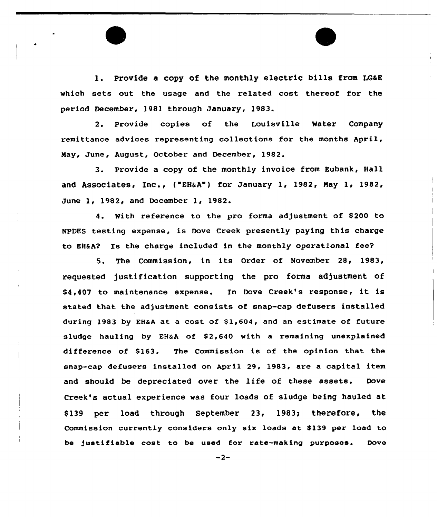1. Provide a copy of the monthly electric bills from LG&E which sets out the usage and the related cost thereof for the period December. 1981 through January, 1983.

2. Provide copies of the Louisville Water Company remittance advices representing collections for the months April, May, June, August, October and December, 1982.

3. Provide <sup>a</sup> copy of the monthly invoice from Eubank, Hall and Associates, Inc., ("EH&A") for January 1, 1982, Nay 1, 1982, June 1, 1982< and December 1, 1982.

4. With reference to the pro forma adjustment of \$200 to NPDES testing expense, is Dove Creek presently paying this charge to EHSA2 Is the charge included in the monthly operational fee?

5. The Commission, in its Order of November 28, 1983, requested justification supporting the pro forma adjustment of \$ 4,407 to maintenance expense. In Dove Creek's response, it is stated that the adjustment consists of snap-cap defusers installed during 1983 by EH&A at a cost of 51,604, and an estimate of future sludge hauling by EH&A of \$2,640 with a remaining unexplained difference of \$163. The Commission is of the opinion that the snap-cap defusers installed on April 29, 1983, are a capital item and should be depreciated over the life of these assets. Dove Creek's actual experience was four loads of sludge being hauled at \$139 per load through September 23, 1983; therefore, the Commission currently considers only six loads at \$139 per load to be 3ustifiable cost to be used for rata-making purposes. Dove

 $-2-$